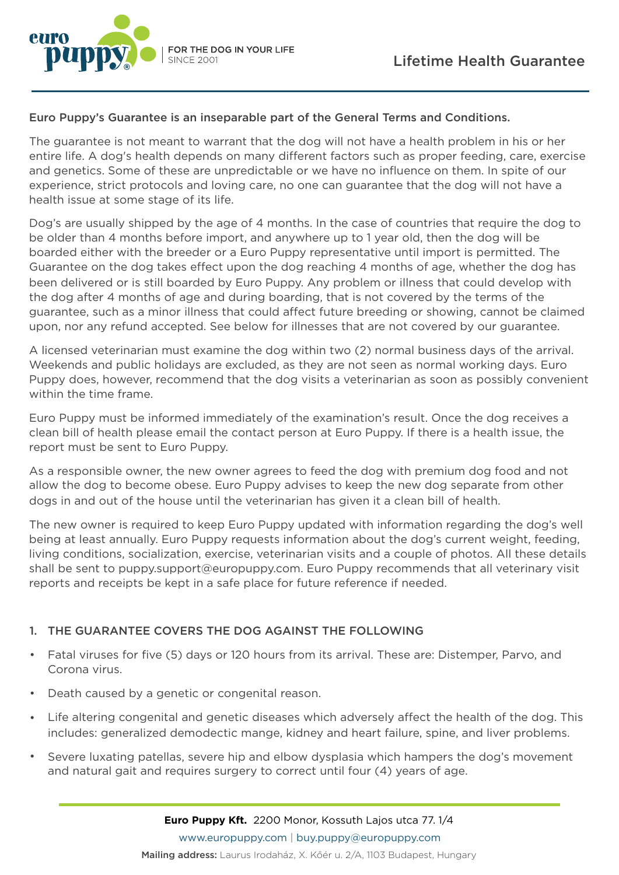



# Euro Puppy's Guarantee is an inseparable part of the General Terms and Conditions.

The guarantee is not meant to warrant that the dog will not have a health problem in his or her entire life. A dog's health depends on many different factors such as proper feeding, care, exercise and genetics. Some of these are unpredictable or we have no influence on them. In spite of our experience, strict protocols and loving care, no one can guarantee that the dog will not have a health issue at some stage of its life.

Dog's are usually shipped by the age of 4 months. In the case of countries that require the dog to be older than 4 months before import, and anywhere up to 1 year old, then the dog will be boarded either with the breeder or a Euro Puppy representative until import is permitted. The Guarantee on the dog takes effect upon the dog reaching 4 months of age, whether the dog has been delivered or is still boarded by Euro Puppy. Any problem or illness that could develop with the dog after 4 months of age and during boarding, that is not covered by the terms of the guarantee, such as a minor illness that could affect future breeding or showing, cannot be claimed upon, nor any refund accepted. See below for illnesses that are not covered by our guarantee.

A licensed veterinarian must examine the dog within two (2) normal business days of the arrival. Weekends and public holidays are excluded, as they are not seen as normal working days. Euro Puppy does, however, recommend that the dog visits a veterinarian as soon as possibly convenient within the time frame.

Euro Puppy must be informed immediately of the examination's result. Once the dog receives a clean bill of health please email the contact person at Euro Puppy. If there is a health issue, the report must be sent to Euro Puppy.

As a responsible owner, the new owner agrees to feed the dog with premium dog food and not allow the dog to become obese. Euro Puppy advises to keep the new dog separate from other dogs in and out of the house until the veterinarian has given it a clean bill of health.

The new owner is required to keep Euro Puppy updated with information regarding the dog's well being at least annually. Euro Puppy requests information about the dog's current weight, feeding, living conditions, socialization, exercise, veterinarian visits and a couple of photos. All these details shall be sent to puppy.support@europuppy.com. Euro Puppy recommends that all veterinary visit reports and receipts be kept in a safe place for future reference if needed.

# 1. THE GUARANTEE COVERS THE DOG AGAINST THE FOLLOWING

- Fatal viruses for five (5) days or 120 hours from its arrival. These are: Distemper, Parvo, and Corona virus.
- Death caused by a genetic or congenital reason.
- Life altering congenital and genetic diseases which adversely affect the health of the dog. This includes: generalized demodectic mange, kidney and heart failure, spine, and liver problems.
- Severe luxating patellas, severe hip and elbow dysplasia which hampers the dog's movement and natural gait and requires surgery to correct until four (4) years of age.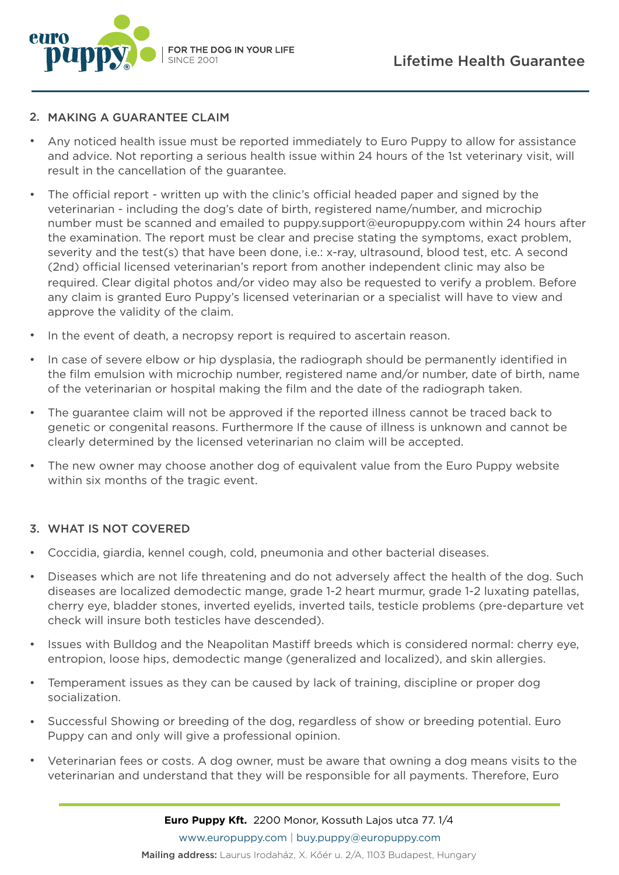

### 2. MAKING A GUARANTEE CLAIM

- Any noticed health issue must be reported immediately to Euro Puppy to allow for assistance and advice. Not reporting a serious health issue within 24 hours of the 1st veterinary visit, will result in the cancellation of the guarantee.
- The official report written up with the clinic's official headed paper and signed by the veterinarian - including the dog's date of birth, registered name/number, and microchip number must be scanned and emailed to puppy.support@europuppy.com within 24 hours after the examination. The report must be clear and precise stating the symptoms, exact problem, severity and the test(s) that have been done, i.e.: x-ray, ultrasound, blood test, etc. A second (2nd) official licensed veterinarian's report from another independent clinic may also be required. Clear digital photos and/or video may also be requested to verify a problem. Before any claim is granted Euro Puppy's licensed veterinarian or a specialist will have to view and approve the validity of the claim.
- In the event of death, a necropsy report is required to ascertain reason.
- In case of severe elbow or hip dysplasia, the radiograph should be permanently identified in the film emulsion with microchip number, registered name and/or number, date of birth, name of the veterinarian or hospital making the film and the date of the radiograph taken.
- The guarantee claim will not be approved if the reported illness cannot be traced back to genetic or congenital reasons. Furthermore If the cause of illness is unknown and cannot be clearly determined by the licensed veterinarian no claim will be accepted.
- The new owner may choose another dog of equivalent value from the Euro Puppy website within six months of the tragic event.

### 3. WHAT IS NOT COVERED

- Coccidia, giardia, kennel cough, cold, pneumonia and other bacterial diseases.
- Diseases which are not life threatening and do not adversely affect the health of the dog. Such diseases are localized demodectic mange, grade 1-2 heart murmur, grade 1-2 luxating patellas, cherry eye, bladder stones, inverted eyelids, inverted tails, testicle problems (pre-departure vet check will insure both testicles have descended).
- Issues with Bulldog and the Neapolitan Mastiff breeds which is considered normal: cherry eye, entropion, loose hips, demodectic mange (generalized and localized), and skin allergies.
- Temperament issues as they can be caused by lack of training, discipline or proper dog socialization.
- Successful Showing or breeding of the dog, regardless of show or breeding potential. Euro Puppy can and only will give a professional opinion.
- Veterinarian fees or costs. A dog owner, must be aware that owning a dog means visits to the veterinarian and understand that they will be responsible for all payments. Therefore, Euro